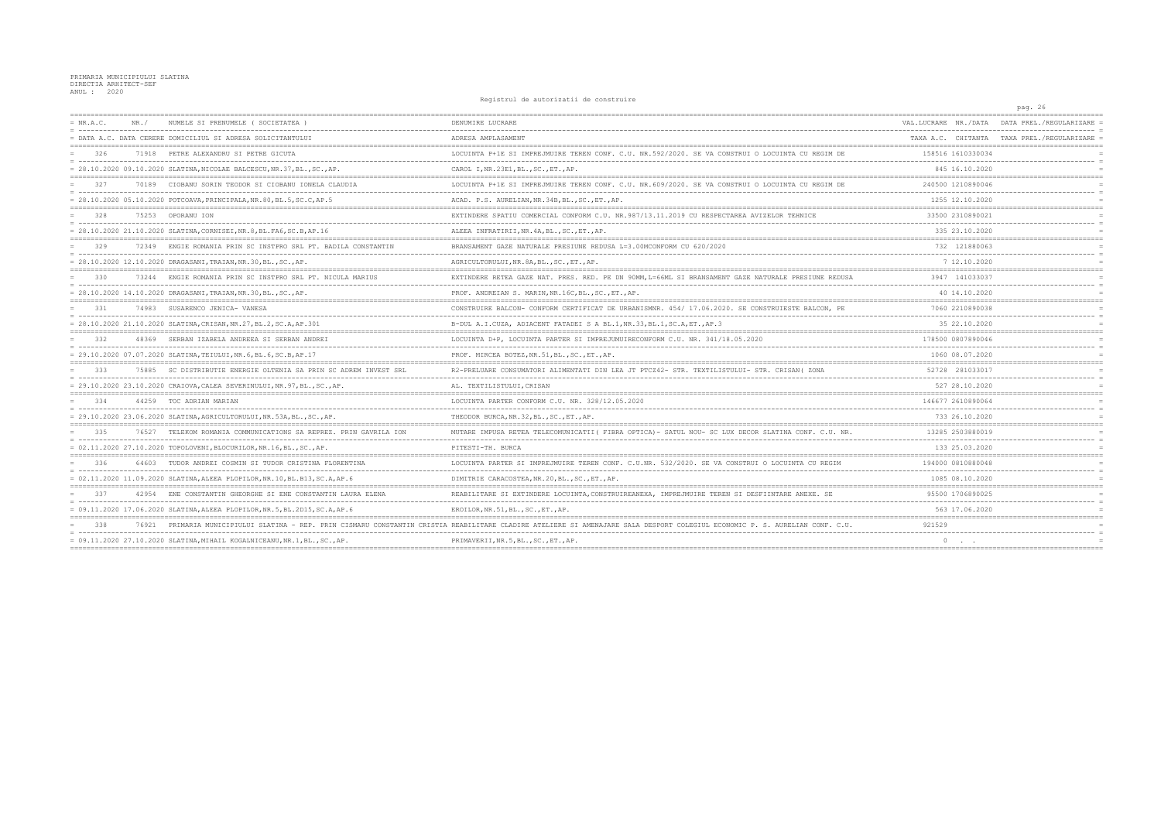PRIMARIA MUNICIPIULUI SLATINA<br>DIRECTIA ARHITECT-SEF<br>ANUL : 2020

## Registrul de autorizatii de construire

|             |       |                                                                            | nographar ao aacorraachri ao comacrarre                                                                                                                            |                      | pag. 26                                    |
|-------------|-------|----------------------------------------------------------------------------|--------------------------------------------------------------------------------------------------------------------------------------------------------------------|----------------------|--------------------------------------------|
| $= NR.A.C.$ | NR. / | NUMELE SI PRENUMELE (SOCIETATEA                                            | DENUMIRE LUCRARE                                                                                                                                                   | VAL.LUCRARE NR./DATA | DATA PREL./REGULARIZARE                    |
|             |       | DATA A.C. DATA CERERE DOMICILIUL SI ADRESA SOLICITANTULUI                  | ADRESA AMPLASAMENT                                                                                                                                                 |                      | TAXA A.C. CHITANTA TAXA PREL./REGULARIZARE |
| 326         |       | 71918 PETRE ALEXANDRU SI PETRE GICUTA                                      | LOCUINTA P+1E SI IMPREJMUIRE TEREN CONF. C.U. NR.592/2020. SE VA CONSTRUI O LOCUINTA CU REGIM DE                                                                   | 158516 1610330034    |                                            |
|             |       | = 28.10.2020 09.10.2020 SLATINA, NICOLAE BALCESCU, NR.37, BL., SC., AP.    | CAROL I, NR.23E1, BL., SC., ET., AP.                                                                                                                               | 845 16.10.2020       |                                            |
| 327         |       | 70189 CIOBANU SORIN TEODOR SI CIOBANU IONELA CLAUDIA                       | LOCUINTA P+1E SI IMPREJMUIRE TEREN CONF. C.U. NR. 609/2020. SE VA CONSTRUI O LOCUINTA CU REGIM DE                                                                  | 240500 1210890046    |                                            |
|             |       | $= 28.10.2020 05.10.2020 POTCOAVA, PRINCIPALA, NR.80, BL.5, SC.C, AP.5$    | ACAD. P.S. AURELIAN, NR. 34B, BL., SC., ET., AP.                                                                                                                   | 1255 12.10.2020      |                                            |
| 328         |       | 75253 OPORANU ION                                                          | EXTINDERE SPATIU COMERCIAL CONFORM C.U. NR.987/13.11.2019 CU RESPECTAREA AVIZELOR TEHNICE                                                                          | 33500 2310890021     |                                            |
|             |       | = 28.10.2020 21.10.2020 SLATINA, CORNISEI, NR.8, BL.FA6, SC.B, AP.16       | ALEEA INFRATIRII, NR. 4A, BL., SC., ET., AP.                                                                                                                       | 335 23.10.2020       |                                            |
| 329         |       | 72349 ENGIE ROMANIA PRIN SC INSTPRO SRL PT. BADILA CONSTANTIN              | BRANSAMENT GAZE NATURALE PRESIUNE REDUSA L=3.00MCONFORM CU 620/2020                                                                                                | 732 121880063        |                                            |
|             |       | = 28.10.2020 12.10.2020 DRAGASANI,TRAIAN,NR.30,BL.,SC.,AP.                 | AGRICULTORULUI, NR. 8A, BL., SC., ET., AP.                                                                                                                         | 7 12.10.2020         |                                            |
| 330         |       | 73244 ENGIE ROMANIA PRIN SC INSTPRO SRL PT. NICULA MARIUS                  | EXTINDERE RETEA GAZE NAT. PRES. RED. PE DN 90MM, L=66ML SI BRANSAMENT GAZE NATURALE PRESIUNE REDUSA                                                                | 3947 141033037       |                                            |
|             |       | = 28.10.2020 14.10.2020 DRAGASANI, TRAIAN, NR.30, BL., SC., AP.            | PROF. ANDREIAN S. MARIN, NR. 16C, BL., SC., ET., AP.                                                                                                               | 40 14.10.2020        |                                            |
| 331         |       | 74983 SUSARENCO JENICA- VANESA                                             | CONSTRUIRE BALCON- CONFORM CERTIFICAT DE URBANISMNR. 454/ 17.06.2020. SE CONSTRUIESTE BALCON, PE                                                                   | 7060 2210890038      |                                            |
|             |       | = 28.10.2020 21.10.2020 SLATINA, CRISAN, NR.27, BL.2, SC.A, AP.301         | B-DUL A.I.CUZA, ADIACENT FATADEI S A BL.1, NR.33, BL.1, SC.A, ET., AP.3                                                                                            | 35 22.10.2020        |                                            |
| 332         |       | 48369 SERBAN IZABELA ANDREEA SI SERBAN ANDREI                              | LOCUINTA D+P, LOCUINTA PARTER SI IMPREJUMUIRECONFORM C.U. NR. 341/18.05.2020                                                                                       | 178500 0807890046    |                                            |
|             |       | = 29.10.2020 07.07.2020 SLATINA, TEIULUI, NR. 6, BL. 6, SC. B, AP. 17      | PROF. MIRCEA BOTEZ, NR.51, BL., SC., ET., AP.                                                                                                                      | 1060 08.07.2020      |                                            |
| 333         |       | 75885 SC DISTRIBUTIE ENERGIE OLTENIA SA PRIN SC ADREM INVEST SRL           | R2-PRELUARE CONSUMATORI ALIMENTATI DIN LEA JT PTCZ42- STR. TEXTILISTULUI- STR. CRISAN (ZONA                                                                        | 52728 281033017      |                                            |
|             |       | = 29.10.2020 23.10.2020 CRAIOVA, CALEA SEVERINULUI, NR. 97, BL., SC., AP.  | AL. TEXTILISTULUI, CRISAN                                                                                                                                          | 527 28.10.2020       |                                            |
| 334         |       | 44259 TOC ADRIAN MARIAN                                                    | LOCUINTA PARTER CONFORM C.U. NR. 328/12.05.2020                                                                                                                    | 146677 2610890064    |                                            |
|             |       | = 29.10.2020 23.06.2020 SLATINA, AGRICULTORULUI, NR.53A, BL., SC., AP.     | THEODOR BURCA, NR. 32, BL., SC., ET., AP.                                                                                                                          | 733 26.10.2020       |                                            |
| 335         |       | 76527 TELEKOM ROMANIA COMMUNICATIONS SA REPREZ. PRIN GAVRILA ION           | MUTARE IMPUSA RETEA TELECOMUNICATII (FIBRA OPTICA) - SATUL NOU- SC LUX DECOR SLATINA CONF. C.U. NR.                                                                | 13285 2503880019     |                                            |
|             |       |                                                                            | PITESTI-TH. BURCA                                                                                                                                                  | 133 25.03.2020       |                                            |
| 336         |       | 64603 TUDOR ANDREI COSMIN SI TUDOR CRISTINA FLORENTINA                     | LOCUINTA PARTER SI IMPREJMUIRE TEREN CONF. C.U.NR. 532/2020. SE VA CONSTRUI O LOCUINTA CU REGIM                                                                    | 194000 0810880048    |                                            |
|             |       | = 02.11.2020 11.09.2020 SLATINA, ALEEA PLOPILOR, NR.10, BL.B13, SC.A, AP.6 | DIMITRIE CARACOSTEA, NR. 20, BL., SC., ET., AP.                                                                                                                    | 1085 08.10.2020      |                                            |
| 337         | 42954 | ENE CONSTANTIN GHEORGHE SI ENE CONSTANTIN LAURA ELENA                      | REABILITARE SI EXTINDERE LOCUINTA, CONSTRUIREANEXA, IMPREJMUIRE TEREN SI DESFIINTARE ANEXE. SE                                                                     | 95500 1706890025     |                                            |
|             |       | = 09.11.2020 17.06.2020 SLATINA,ALEEA PLOPILOR,NR.5,BL.2D15,SC.A,AP.6      | EROILOR, NR.51, BL., SC., ET., AP.                                                                                                                                 | 563 17.06.2020       |                                            |
| 338         |       |                                                                            | 76921 PRIMARIA MUNICIPIULUI SLATINA - REP. PRIN CISMARU CONSTANTIN CRISTIA REABILITARE CLADIRE ATELIERE SI AMENAJARE SALA DESPORT COLEGIUL ECONOMIC P. S. AURELIAN | 921529               |                                            |
|             |       | = 09.11.2020 27.10.2020 SLATINA, MIHAIL KOGALNICEANU, NR.1, BL., SC., AP.  | PRIMAVERII, NR.5, BL., SC., ET., AP.                                                                                                                               |                      |                                            |
|             |       |                                                                            |                                                                                                                                                                    |                      |                                            |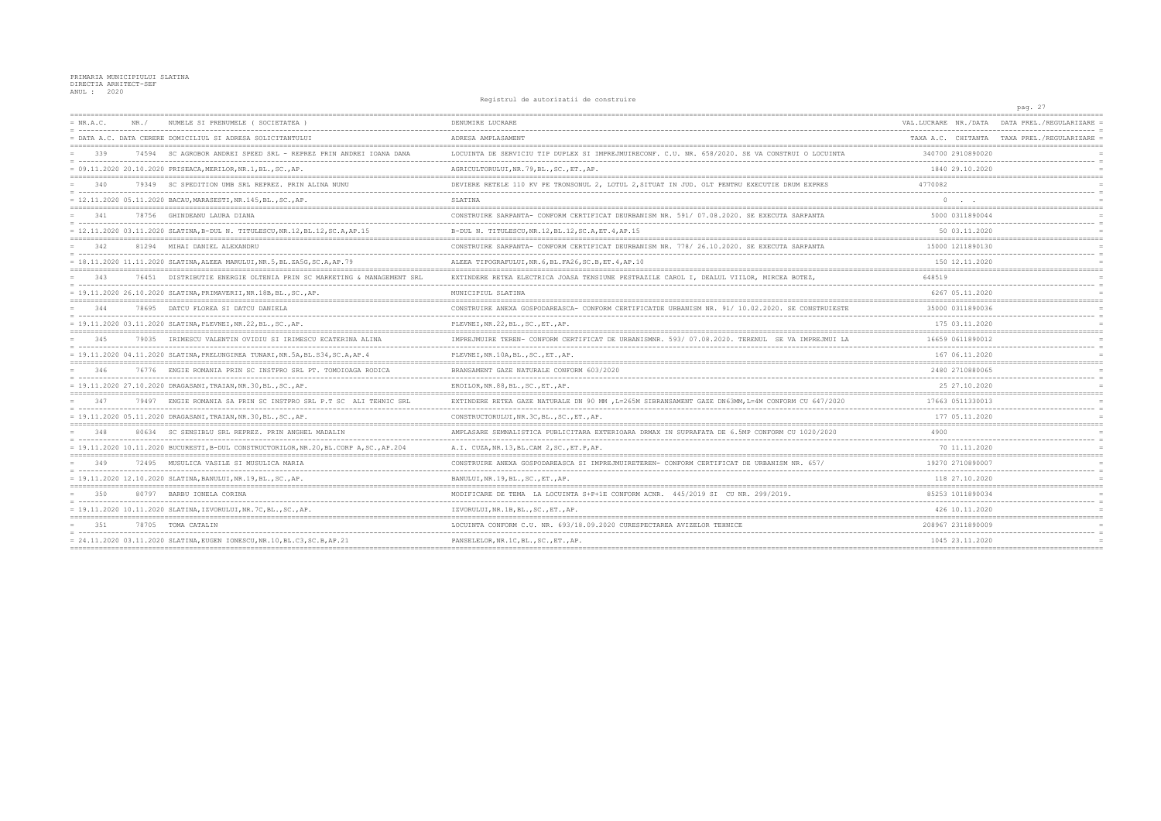## PRIMARIA MUNICIPIULUI SLATINA<br>DIRECTIA ARHITECT-SEF<br>ANUL : 2020

## Registrul de autorizatii de construire

|             |                                                                                    | ncgrocrar ac aacorraacrr ac comperarry                                                             |                      | pag. 27                                    |
|-------------|------------------------------------------------------------------------------------|----------------------------------------------------------------------------------------------------|----------------------|--------------------------------------------|
| $= NR.A.C.$ | NUMELE SI PRENUMELE ( SOCIETATEA )<br>NR. /                                        | DENUMIRE LUCRARE                                                                                   | VAL.LUCRARE NR./DATA | DATA PREL /REGULARIZARE                    |
|             | = DATA A.C. DATA CERERE DOMICILIUL SI ADRESA SOLICITANTULUI                        | ADRESA AMPLASAMENT                                                                                 |                      | TAXA A.C. CHITANTA TAXA PREL./REGULARIZARE |
| 339         | 74594 SC AGROBOR ANDREI SPEED SRL - REPREZ PRIN ANDREI IOANA DANA                  | LOCUINTA DE SERVICIU TIP DUPLEX SI IMPREJMUIRECONF. C.U. NR. 658/2020. SE VA CONSTRUI O LOCUINTA   | 340700 2910890020    |                                            |
|             | = 09.11.2020 20.10.2020 PRISEACA, MERILOR, NR.1, BL., SC., AP.                     | AGRICULTORULUI, NR.79, BL., SC., ET., AP.                                                          | 1840 29.10.2020      |                                            |
| 340         | 79349 SC SPEDITION UMB SRL REPREZ. PRIN ALINA NUNU                                 | DEVIERE RETELE 110 KV PE TRONSONUL 2, LOTUL 2, SITUAT IN JUD. OLT PENTRU EXECUTIE DRUM EXPRES      | 4770082              |                                            |
|             | = 12.11.2020 05.11.2020 BACAU, MARASESTI, NR.145, BL., SC., AP.                    | SLATINA                                                                                            | $\Omega$             |                                            |
| 341         | 78756 GHINDEANU LAURA DIANA                                                        | CONSTRUIRE SARPANTA- CONFORM CERTIFICAT DEURBANISM NR. 591/07.08.2020. SE EXECUTA SARPANTA         | 5000 0311890044      |                                            |
|             | = 12.11.2020 03.11.2020 SLATINA, B-DUL N. TITULESCU, NR.12, BL.12, SC.A, AP.15     | B-DUL N. TITULESCU, NR. 12, BL. 12, SC. A, ET. 4, AP. 15                                           | 50 03.11.2020        |                                            |
| 342         | 81294 MIHAI DANIEL ALEXANDRU                                                       | CONSTRUIRE SARPANTA- CONFORM CERTIFICAT DEURBANISM NR. 778/ 26.10.2020. SE EXECUTA SARPANTA        | 15000 1211890130     |                                            |
|             | = 18.11.2020 11.11.2020 SLATINA, ALEEA MARULUI, NR.5, BL.ZA5G, SC.A, AP.79         | ALEEA TIPOGRAFULUI, NR. 6, BL. FA26, SC. B, ET. 4, AP. 10                                          | 150 12.11.2020       |                                            |
| 343         | 76451 DISTRIBUTIE ENERGIE OLTENIA PRIN SC MARKETING & MANAGEMENT SRI               | EXTINDERE RETEA ELECTRICA JOASA TENSIUNE PESTRAZILE CAROL I, DEALUL VIILOR, MIRCEA BOTEZ,          | 648519               |                                            |
|             |                                                                                    | MUNICIPIUL SLATINA                                                                                 | 6267 05.11.2020      |                                            |
| 344         | 78695 DATCU FLOREA SI DATCU DANIELA                                                | CONSTRUIRE ANEXA GOSPODAREASCA- CONFORM CERTIFICATDE URBANISM NR. 91/ 10.02.2020. SE CONSTRUIESTE  | 35000 0311890036     |                                            |
|             | = 19.11.2020 03.11.2020 SLATINA, PLEVNEI, NR.22, BL., SC., AP.                     | PLEVNEI, NR. 22, BL., SC., ET., AP.                                                                | 175 03.11.2020       |                                            |
| 345         | IRIMESCU VALENTIN OVIDIU SI IRIMESCU ECATERINA ALINA<br>79035                      | IMPREJMUIRE TEREN- CONFORM CERTIFICAT DE URBANISMNR. 593/ 07.08.2020. TERENUL SE VA IMPREJMUI LA   | 16659 0611890012     |                                            |
|             | = 19.11.2020 04.11.2020 SLATINA,PRELUNGIREA TUNARI,NR.5A,BL.S34,SC.A,AP.4          | PLEVNEI, NR.10A, BL., SC., ET., AP.                                                                | 167 06.11.2020       |                                            |
|             | 76776 ENGIE ROMANIA PRIN SC INSTPRO SRL PT. TOMOIOAGA RODICA                       | BRANSAMENT GAZE NATURALE CONFORM 603/2020                                                          | 2480 2710880065      |                                            |
|             | = 19.11.2020 27.10.2020 DRAGASANI,TRAIAN,NR.30,BL.,SC.,AP.                         | EROILOR, NR. 88, BL., SC., ET., AP.                                                                | 25 27.10.2020        |                                            |
| 347         | 79497 ENGIE ROMANIA SA PRIN SC INSTPRO SRL P.T SC ALI TEHNIC SRL                   | EXTINDERE RETEA GAZE NATURALE DN 90 MM , L=265M SIBRANSAMENT GAZE DN63MM, L=4M CONFORM CU 647/2020 | 17663 0511330013     |                                            |
|             | = 19.11.2020 05.11.2020 DRAGASANI, TRAIAN, NR.30, BL., SC., AP.                    | CONSTRUCTORULUI, NR. 3C, BL., SC., ET., AP.                                                        | 177 05.11.2020       |                                            |
| 348         | 80634 SC SENSIBLU SRL REPREZ. PRIN ANGHEL MADALIN                                  | AMPLASARE SEMNALISTICA PUBLICITARA EXTERIOARA DRMAX IN SUPRAFATA DE 6.5MP CONFORM CU 1020/2020     |                      |                                            |
|             | = 19.11.2020 10.11.2020 BUCURESTI,B-DUL CONSTRUCTORILOR,NR.20,BL.CORP A,SC.,AP.204 | A.I. CUZA, NR.13, BL.CAM 2, SC., ET.P, AP.                                                         | 70 11.11.2020        |                                            |
| 349         | 72495 MUSULICA VASILE SI MUSULICA MARIA                                            | CONSTRUIRE ANEXA GOSPODAREASCA SI IMPREJMUIRETEREN- CONFORM CERTIFICAT DE                          | 19270 2710890007     |                                            |
|             | = 19.11.2020 12.10.2020 SLATINA, BANULUI, NR.19, BL., SC., AP.                     | BANULUI, NR.19, BL., SC., ET., AP.                                                                 | 118 27.10.2020       |                                            |
| 350         | 80797<br>BARBU IONELA CORINA                                                       | CONFORM ACNR.<br>445/2019 SI CU NR. 299/2019                                                       | 85253 1011890034     |                                            |
|             | = 19.11.2020 10.11.2020 SLATINA, IZVORULUI, NR. 7C, BL., SC., AP.                  | IZVORULUI, NR.1B, BL., SC., ET., AP.                                                               | 426 10.11.2020       |                                            |
| 351         | 78705 TOMA CATALIN                                                                 | LOCUINTA CONFORM C.U. NR. 693/18.09.2020 CURESPECTAREA AVIZELOR TEHNICE                            | 208967 2311890009    |                                            |
|             | = 24.11.2020 03.11.2020 SLATINA, EUGEN IONESCU, NR.10, BL.C3, SC.B, AP.21          | PANSELELOR, NR. 1C, BL., SC., ET., AP.                                                             | 1045 23.11.2020      |                                            |